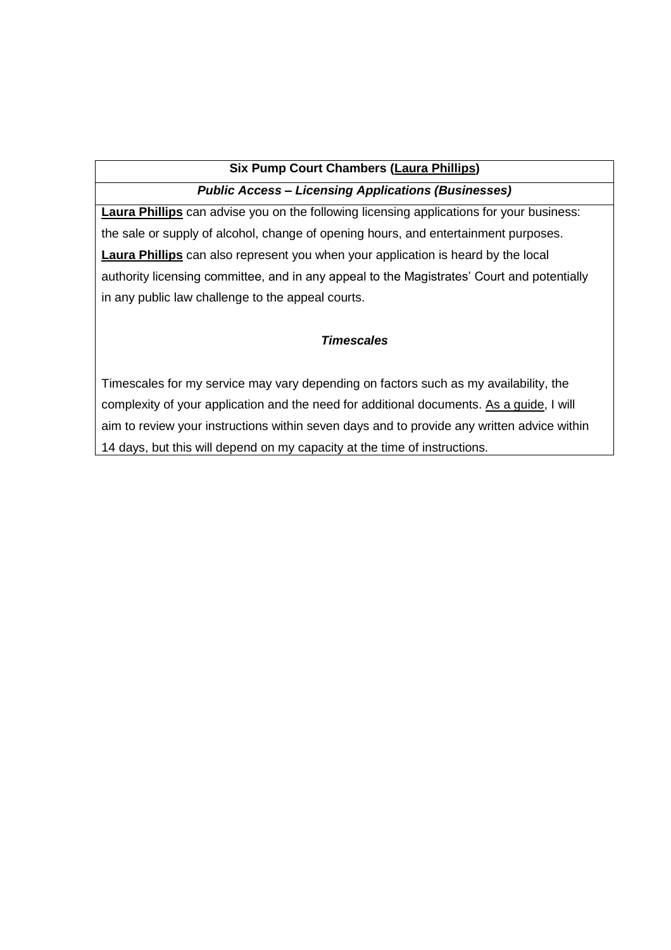## **Six Pump Court Chambers (Laura Phillips)**

## *Public Access – Licensing Applications (Businesses)*

**Laura Phillips** can advise you on the following licensing applications for your business: the sale or supply of alcohol, change of opening hours, and entertainment purposes. **Laura Phillips** can also represent you when your application is heard by the local authority licensing committee, and in any appeal to the Magistrates' Court and potentially in any public law challenge to the appeal courts.

# *Timescales*

Timescales for my service may vary depending on factors such as my availability, the complexity of your application and the need for additional documents. As a quide, I will aim to review your instructions within seven days and to provide any written advice within 14 days, but this will depend on my capacity at the time of instructions.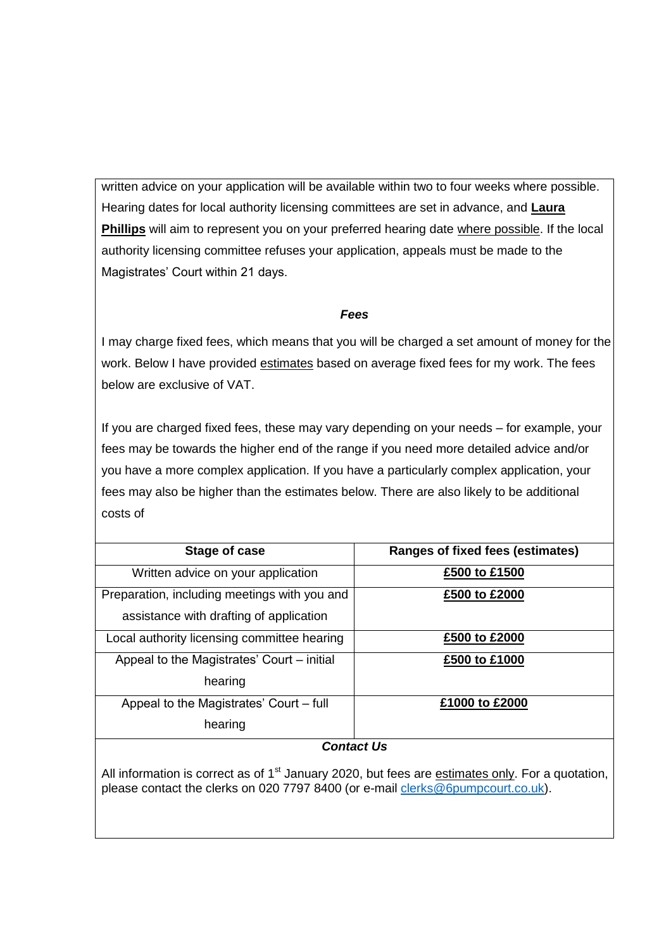written advice on your application will be available within two to four weeks where possible. Hearing dates for local authority licensing committees are set in advance, and **Laura Phillips** will aim to represent you on your preferred hearing date where possible. If the local authority licensing committee refuses your application, appeals must be made to the Magistrates' Court within 21 days.

### *Fees*

I may charge fixed fees, which means that you will be charged a set amount of money for the work. Below I have provided estimates based on average fixed fees for my work. The fees below are exclusive of VAT.

If you are charged fixed fees, these may vary depending on your needs – for example, your fees may be towards the higher end of the range if you need more detailed advice and/or you have a more complex application. If you have a particularly complex application, your fees may also be higher than the estimates below. There are also likely to be additional costs of

| Stage of case                                | <b>Ranges of fixed fees (estimates)</b> |  |
|----------------------------------------------|-----------------------------------------|--|
| Written advice on your application           | £500 to £1500                           |  |
| Preparation, including meetings with you and | £500 to £2000                           |  |
| assistance with drafting of application      |                                         |  |
| Local authority licensing committee hearing  | £500 to £2000                           |  |
| Appeal to the Magistrates' Court – initial   | £500 to £1000                           |  |
| hearing                                      |                                         |  |
| Appeal to the Magistrates' Court – full      | £1000 to £2000                          |  |
| hearing                                      |                                         |  |
| <b>Contact Us</b>                            |                                         |  |

All information is correct as of 1<sup>st</sup> January 2020, but fees are estimates only. For a quotation, please contact the clerks on 020 7797 8400 (or e-mail [clerks@6pumpcourt.co.uk\)](mailto:clerks@6pumpcourt.co.uk).